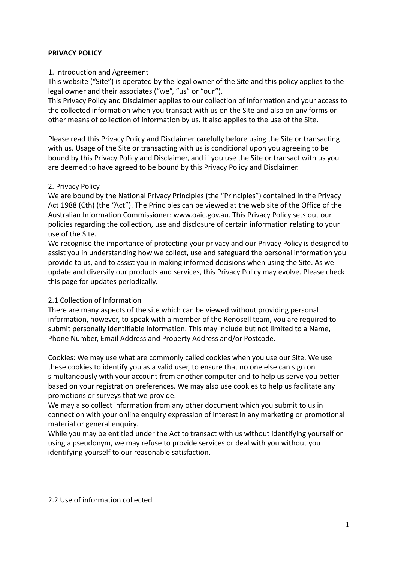## **PRIVACY POLICY**

#### 1. Introduction and Agreement

This website ("Site") is operated by the legal owner of the Site and this policy applies to the legal owner and their associates ("we", "us" or "our").

This Privacy Policy and Disclaimer applies to our collection of information and your access to the collected information when you transact with us on the Site and also on any forms or other means of collection of information by us. It also applies to the use of the Site.

Please read this Privacy Policy and Disclaimer carefully before using the Site or transacting with us. Usage of the Site or transacting with us is conditional upon you agreeing to be bound by this Privacy Policy and Disclaimer, and if you use the Site or transact with us you are deemed to have agreed to be bound by this Privacy Policy and Disclaimer.

## 2. Privacy Policy

We are bound by the National Privacy Principles (the "Principles") contained in the Privacy Act 1988 (Cth) (the "Act"). The Principles can be viewed at the web site of the Office of the Australian Information Commissioner: www.oaic.gov.au. This Privacy Policy sets out our policies regarding the collection, use and disclosure of certain information relating to your use of the Site.

We recognise the importance of protecting your privacy and our Privacy Policy is designed to assist you in understanding how we collect, use and safeguard the personal information you provide to us, and to assist you in making informed decisions when using the Site. As we update and diversify our products and services, this Privacy Policy may evolve. Please check this page for updates periodically.

# 2.1 Collection of Information

There are many aspects of the site which can be viewed without providing personal information, however, to speak with a member of the Renosell team, you are required to submit personally identifiable information. This may include but not limited to a Name, Phone Number, Email Address and Property Address and/or Postcode.

Cookies: We may use what are commonly called cookies when you use our Site. We use these cookies to identify you as a valid user, to ensure that no one else can sign on simultaneously with your account from another computer and to help us serve you better based on your registration preferences. We may also use cookies to help us facilitate any promotions or surveys that we provide.

We may also collect information from any other document which you submit to us in connection with your online enquiry expression of interest in any marketing or promotional material or general enquiry.

While you may be entitled under the Act to transact with us without identifying yourself or using a pseudonym, we may refuse to provide services or deal with you without you identifying yourself to our reasonable satisfaction.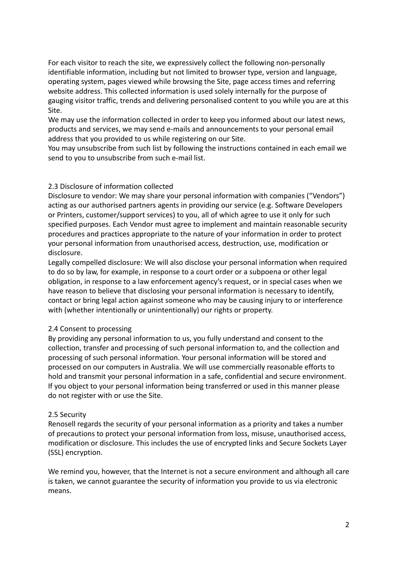For each visitor to reach the site, we expressively collect the following non-personally identifiable information, including but not limited to browser type, version and language, operating system, pages viewed while browsing the Site, page access times and referring website address. This collected information is used solely internally for the purpose of gauging visitor traffic, trends and delivering personalised content to you while you are at this Site.

We may use the information collected in order to keep you informed about our latest news, products and services, we may send e-mails and announcements to your personal email address that you provided to us while registering on our Site.

You may unsubscribe from such list by following the instructions contained in each email we send to you to unsubscribe from such e-mail list.

## 2.3 Disclosure of information collected

Disclosure to vendor: We may share your personal information with companies ("Vendors") acting as our authorised partners agents in providing our service (e.g. Software Developers or Printers, customer/support services) to you, all of which agree to use it only for such specified purposes. Each Vendor must agree to implement and maintain reasonable security procedures and practices appropriate to the nature of your information in order to protect your personal information from unauthorised access, destruction, use, modification or disclosure.

Legally compelled disclosure: We will also disclose your personal information when required to do so by law, for example, in response to a court order or a subpoena or other legal obligation, in response to a law enforcement agency's request, or in special cases when we have reason to believe that disclosing your personal information is necessary to identify, contact or bring legal action against someone who may be causing injury to or interference with (whether intentionally or unintentionally) our rights or property.

# 2.4 Consent to processing

By providing any personal information to us, you fully understand and consent to the collection, transfer and processing of such personal information to, and the collection and processing of such personal information. Your personal information will be stored and processed on our computers in Australia. We will use commercially reasonable efforts to hold and transmit your personal information in a safe, confidential and secure environment. If you object to your personal information being transferred or used in this manner please do not register with or use the Site.

#### 2.5 Security

Renosell regards the security of your personal information as a priority and takes a number of precautions to protect your personal information from loss, misuse, unauthorised access, modification or disclosure. This includes the use of encrypted links and Secure Sockets Layer (SSL) encryption.

We remind you, however, that the Internet is not a secure environment and although all care is taken, we cannot guarantee the security of information you provide to us via electronic means.